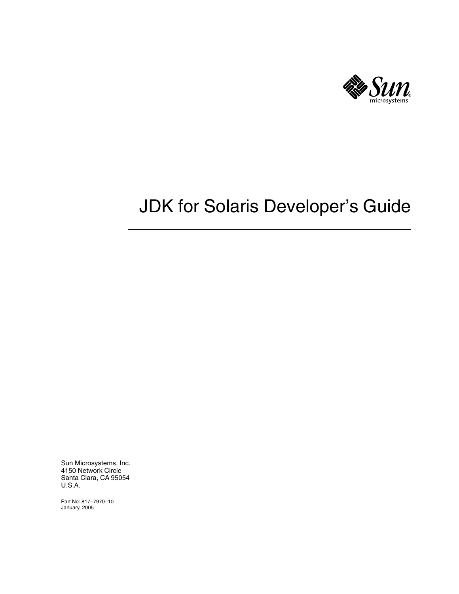

# JDK for Solaris Developer's Guide

Sun Microsystems, Inc. 4150 Network Circle Santa Clara, CA 95054 U.S.A.

Part No: 817–7970–10 January, 2005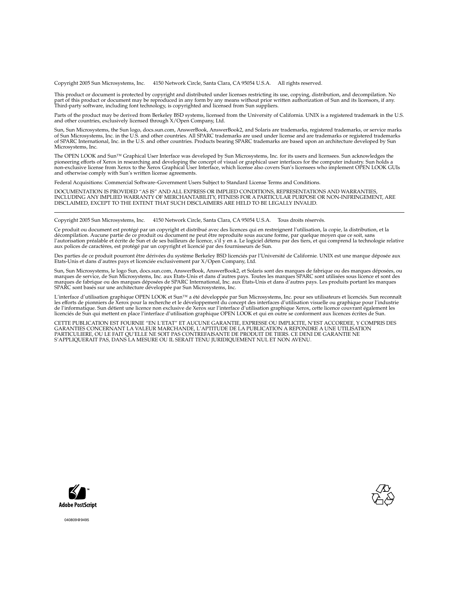Copyright 2005 Sun Microsystems, Inc. 4150 Network Circle, Santa Clara, CA 95054 U.S.A. All rights reserved.

This product or document is protected by copyright and distributed under licenses restricting its use, copying, distribution, and decompilation. No part of this product or document may be reproduced in any form by any means without prior written authorization of Sun and its licensors, if any.<br>Third-party software, including font technology, is copyrighted and licensed

Parts of the product may be derived from Berkeley BSD systems, licensed from the University of California. UNIX is a registered trademark in the U.S. and other countries, exclusively licensed through X/Open Company, Ltd.

Sun, Sun Microsystems, the Sun logo, docs.sun.com, AnswerBook, AnswerBook2, and Solaris are trademarks, registered trademarks, or service marks<br>of Sun Microsystems, Inc. in the U.S. and other countries. All SPARC trademark Microsystems, Inc.

The OPEN LOOK and Sun™ Graphical User Interface was developed by Sun Microsystems, Inc. for its users and licensees. Sun acknowledges the pioneering efforts of Xerox in researching and developing the concept of visual or graphical user interfaces for the computer industry. Sun holds a<br>non-exclusive license from Xerox to the Xerox Graphical User Interface, wh and otherwise comply with Sun's written license agreements.

Federal Acquisitions: Commercial Software–Government Users Subject to Standard License Terms and Conditions.

DOCUMENTATION IS PROVIDED "AS IS" AND ALL EXPRESS OR IMPLIED CONDITIONS, REPRESENTATIONS AND WARRANTIES,<br>INCLUDING ANY IMPLIED WARRANTY OF MERCHANTABILITY, FITNESS FOR A PARTICULAR PURPOSE OR NON-INFRINGEMENT, ARE<br>DISCLAIM

Copyright 2005 Sun Microsystems, Inc. 4150 Network Circle, Santa Clara, CA 95054 U.S.A. Tous droits réservés.

Ce produit ou document est protégé par un copyright et distribué avec des licences qui en restreignent l'utilisation, la copie, la distribution, et la décompilation. Aucune partie de ce produit ou document ne peut être reproduite sous aucune forme, par quelque moyen que ce soit, sans<br>l'autorisation préalable et écrite de Sun et de ses bailleurs de licence, s'il y en a. L aux polices de caractères, est protégé par un copyright et licencié par des fournisseurs de Sun.

Des parties de ce produit pourront être dérivées du système Berkeley BSD licenciés par l'Université de Californie. UNIX est une marque déposée aux Etats-Unis et dans d'autres pays et licenciée exclusivement par X/Open Company, Ltd.

Sun, Sun Microsystems, le logo Sun, docs.sun.com, AnswerBook, AnswerBook2, et Solaris sont des marques de fabrique ou des marques déposées, ou<br>marques de service, de Sun Microsystems, Inc. aux Etats-Unis et dans d'autres p

L'interface d'utilisation graphique OPEN LOOK et Sun™ a été développée par Sun Microsystems, Inc. pour ses utilisateurs et licenciés. Sun reconnaît les efforts de pionniers de Xerox pour la recherche et le développement du concept des interfaces d'utilisation visuelle ou graphique pour l'industrie de l'informatique. Sun détient une licence non exclusive de Xerox sur l'interface d'utilisation graphique Xerox, cette licence couvrant également les<br>licenciés de Sun qui mettent en place l'interface d'utilisation graphiqu

CETTE PUBLICATION EST FOURNIE "EN L'ETAT" ET AUCUNE GARANTIE, EXPRESSE OU IMPLICITE, N'EST ACCORDEE, Y COMPRIS DES GARANTIES CONCERNANT LA VALEUR MARCHANDE, L'APTITUDE DE LA PUBLICATION A REPONDRE A UNE UTILISATION PARTICULIERE, OU LE FAIT QU'ELLE NE SOIT PAS CONTREFAISANTE DE PRODUIT DE TIERS. CE DENI DE GARANTIE NE S'APPLIQUERAIT PAS, DANS LA MESURE OU IL SERAIT TENU JURIDIQUEMENT NUL ET NON AVENU.





040809@9495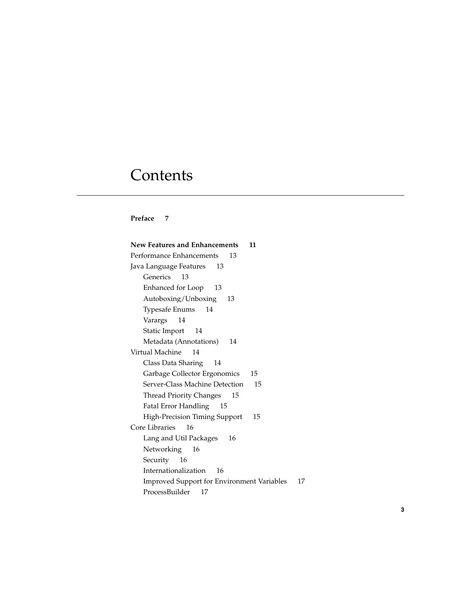## **Contents**

#### **[Preface 7](#page-6-0)**

| New Features and Enhancements<br>11                     |
|---------------------------------------------------------|
| Performance Enhancements<br>13                          |
| Java Language Features<br>13                            |
| Generics 13                                             |
| Enhanced for Loop<br>13                                 |
| Autoboxing/Unboxing<br>13                               |
| Typesafe Enums 14                                       |
| Varargs<br>14                                           |
| Static Import 14                                        |
| Metadata (Annotations)<br>14                            |
| Virtual Machine<br>14                                   |
| Class Data Sharing<br>14                                |
| Garbage Collector Ergonomics<br>15                      |
| Server-Class Machine Detection<br>15                    |
| <b>Thread Priority Changes</b><br>15                    |
| Fatal Error Handling<br>15                              |
| <b>High-Precision Timing Support</b><br>15              |
| Core Libraries<br>16                                    |
| Lang and Util Packages<br>16                            |
| Networking 16                                           |
| 16<br>Security                                          |
| Internationalization<br>16                              |
| <b>Improved Support for Environment Variables</b><br>17 |
| ProcessBuilder<br>17                                    |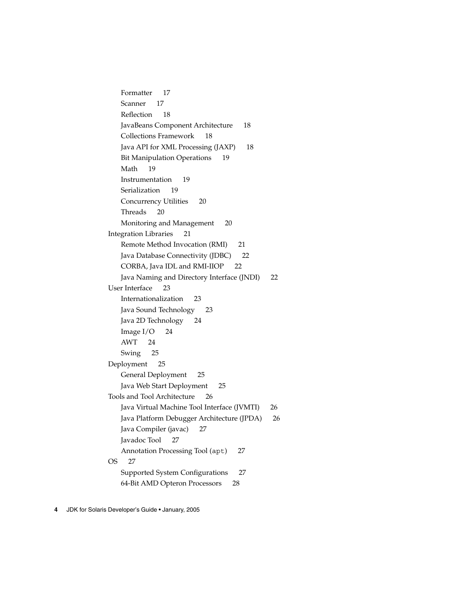[Formatter 17](#page-16-0) [Scanner 17](#page-16-0) [Reflection 18](#page-17-0) [JavaBeans Component Architecture 18](#page-17-0) [Collections Framework 18](#page-17-0) [Java API for XML Processing \(JAXP\) 18](#page-17-0) [Bit Manipulation Operations 19](#page-18-0) [Math 19](#page-18-0) [Instrumentation 19](#page-18-0) [Serialization 19](#page-18-0) [Concurrency Utilities 20](#page-19-0) [Threads 20](#page-19-0) [Monitoring and Management 20](#page-19-0) [Integration Libraries 21](#page-20-0) [Remote Method Invocation \(RMI\) 21](#page-20-0) [Java Database Connectivity \(JDBC\) 22](#page-21-0) [CORBA, Java IDL and RMI-IIOP 22](#page-21-0) [Java Naming and Directory Interface \(JNDI\) 22](#page-21-0) [User Interface 23](#page-22-0) [Internationalization 23](#page-22-0) [Java Sound Technology 23](#page-22-0) [Java 2D Technology 24](#page-23-0) [Image I/O 24](#page-23-0) [AWT 24](#page-23-0) [Swing 25](#page-24-0) [Deployment 25](#page-24-0) [General Deployment 25](#page-24-0) [Java Web Start Deployment 25](#page-24-0) [Tools and Tool Architecture 26](#page-25-0) [Java Virtual Machine Tool Interface \(JVMTI\) 26](#page-25-0) [Java Platform Debugger Architecture \(JPDA\) 26](#page-25-0) [Java Compiler \(javac\) 27](#page-26-0) [Javadoc Tool 27](#page-26-0) [Annotation Processing Tool \(](#page-26-0)apt) 27 [OS 27](#page-26-0) [Supported System Configurations 27](#page-26-0) [64-Bit AMD Opteron Processors 28](#page-27-0)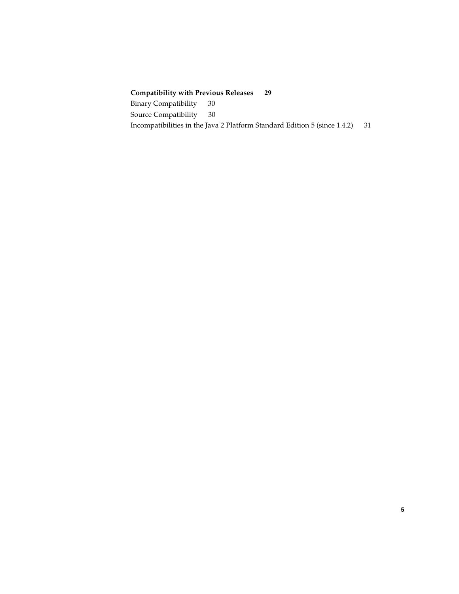#### **[Compatibility with Previous Releases 29](#page-28-0)**

[Binary Compatibility 30](#page-29-0)

[Source Compatibility 30](#page-29-0)

[Incompatibilities in the Java 2 Platform Standard Edition 5 \(since 1.4.2\) 31](#page-30-0)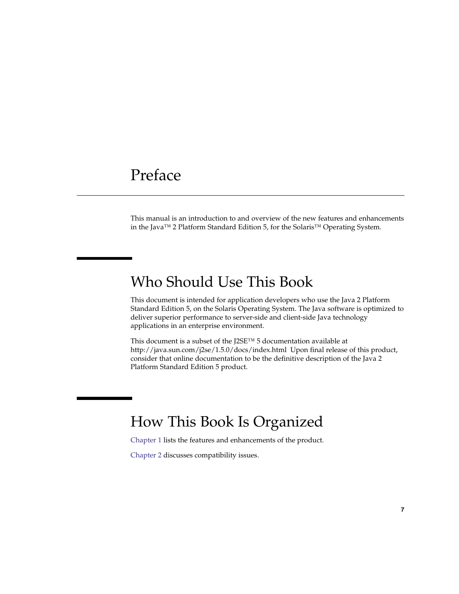### <span id="page-6-0"></span>Preface

This manual is an introduction to and overview of the new features and enhancements in the Java™ 2 Platform Standard Edition 5, for the Solaris™ Operating System.

### Who Should Use This Book

This document is intended for application developers who use the Java 2 Platform Standard Edition 5, on the Solaris Operating System. The Java software is optimized to deliver superior performance to server-side and client-side Java technology applications in an enterprise environment.

This document is a subset of the J2SE™ 5 documentation available at [http://java.sun.com/j2se/1.5.0/docs/index.html.](http://java.sun.com/j2se/1.5.0/docs/index.html) Upon final release of this product, consider that online documentation to be the definitive description of the Java 2 Platform Standard Edition 5 product.

### How This Book Is Organized

[Chapter 1](#page-10-0) lists the features and enhancements of the product.

[Chapter 2](#page-28-0) discusses compatibility issues.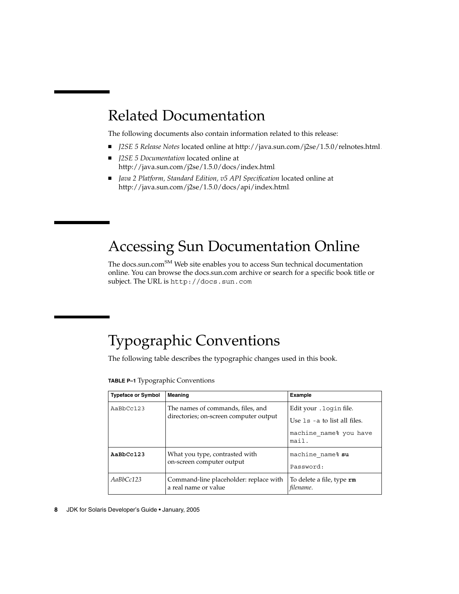## Related Documentation

The following documents also contain information related to this release:

- *J2SE 5 Release Notes* located online at [http://java.sun.com/j2se/1.5.0/relnotes.html.](http://java.sun.com/j2se/1.5.0/relnotes.html)
- *J2SE 5 Documentation* located online at [http://java.sun.com/j2se/1.5.0/docs/index.html.](http://java.sun.com/j2se/1.5.0/docs/index.html)
- *Java 2 Platform, Standard Edition, v5 API Specification* located online at [http://java.sun.com/j2se/1.5.0/docs/api/index.html.](http://java.sun.com/j2se/1.5.0/docs/api/index.html)

### Accessing Sun Documentation Online

The docs.sun.com<sup>SM</sup> Web site enables you to access Sun technical documentation online. You can browse the docs.sun.com archive or search for a specific book title or subject. The URL is <http://docs.sun.com>.

## Typographic Conventions

The following table describes the typographic changes used in this book.

|  | TABLE P-1 Typographic Conventions |  |  |
|--|-----------------------------------|--|--|
|--|-----------------------------------|--|--|

| <b>Typeface or Symbol</b> | Meaning                                                                     | <b>Example</b>                                |
|---------------------------|-----------------------------------------------------------------------------|-----------------------------------------------|
| AaBbCc123                 | The names of commands, files, and<br>directories; on-screen computer output | Edit your . login file.                       |
|                           |                                                                             |                                               |
|                           |                                                                             | machine name% you have<br>mail.               |
| AaBbCc123                 | What you type, contrasted with                                              | machine name% su                              |
| on-screen computer output |                                                                             | Password:                                     |
| AaBbCc123                 | Command-line placeholder: replace with<br>a real name or value              | To delete a file, type <b>rm</b><br>filename. |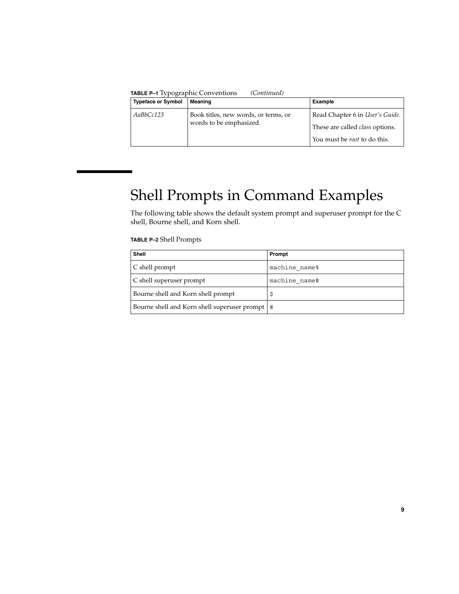| TABLE P-1 Typographic Conventions | (Continued) |
|-----------------------------------|-------------|
|-----------------------------------|-------------|

| <b>Typeface or Symbol</b> | Meaning                              | <b>Example</b>                         |
|---------------------------|--------------------------------------|----------------------------------------|
| AaBbCc123                 | Book titles, new words, or terms, or | Read Chapter 6 in User's Guide.        |
|                           | words to be emphasized.              | These are called <i>class</i> options. |
|                           |                                      | You must be <i>root</i> to do this.    |

## Shell Prompts in Command Examples

The following table shows the default system prompt and superuser prompt for the C shell, Bourne shell, and Korn shell.

#### **TABLE P–2** Shell Prompts

| <b>Shell</b>                                     | Prompt        |
|--------------------------------------------------|---------------|
| C shell prompt                                   | machine name% |
| C shell superuser prompt                         | machine name# |
| Bourne shell and Korn shell prompt               | Ş             |
| Bourne shell and Korn shell superuser prompt   # |               |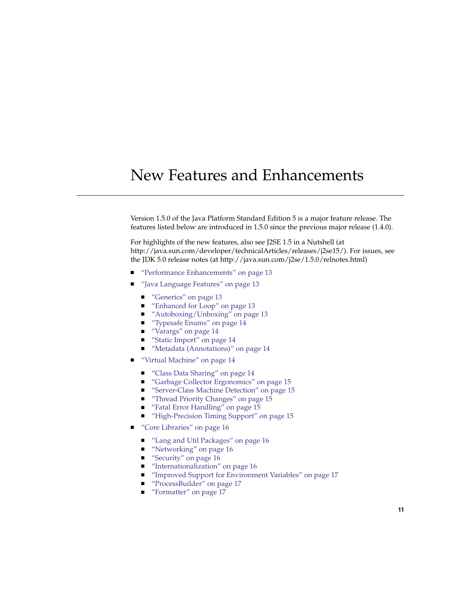### <span id="page-10-0"></span>New Features and Enhancements

Version 1.5.0 of the Java Platform Standard Edition 5 is a major feature release. The features listed below are introduced in 1.5.0 since the previous major release (1.4.0).

For highlights of the new features, also see [J2SE 1.5 in a Nutshell](http://java.sun.com/developer/technicalArticles/releases/j2se15/) (at http://java.sun.com/developer/technicalArticles/releases/j2se15/). For issues, see [the JDK 5.0 release notes \(at http://java.sun.com/j2se/1.5.0/relnotes.html\).](http://java.sun.com/j2se/1.5.0/relnotes.html)

- ["Performance Enhancements"](#page-12-0) on page 13
- ["Java Language Features"](#page-12-0) on page 13
	- ["Generics"](#page-12-0) on page 13
	- ["Enhanced for Loop"](#page-12-0) on page 13
	- ["Autoboxing/Unboxing"](#page-12-0) on page 13
	- ["Typesafe Enums"](#page-13-0) on page 14
	- "Varargs" [on page 14](#page-13-0)
	- ["Static Import"](#page-13-0) on page 14
	- *"*Metadata (Annotations)" on page 14
- ["Virtual Machine"](#page-13-0) on page 14
	- *["Class Data Sharing"](#page-13-0)* on page 14
	- ["Garbage Collector Ergonomics"](#page-14-0) on page 15
	- ["Server-Class Machine Detection"](#page-14-0) on page 15
	- ["Thread Priority Changes"](#page-14-0) on page 15
	- ["Fatal Error Handling"](#page-14-0) on page 15
	- ["High-Precision Timing Support"](#page-14-0) on page 15
- ["Core Libraries"](#page-15-0) on page 16
	- ["Lang and Util Packages"](#page-15-0) on page 16
	- ["Networking"](#page-15-0) on page 16
	- "Security" [on page 16](#page-15-0)
	- ["Internationalization"](#page-15-0) on page 16
	- ["Improved Support for Environment Variables"](#page-16-0) on page 17
	- ["ProcessBuilder"](#page-16-0) on page 17
	- ["Formatter"](#page-16-0) on page 17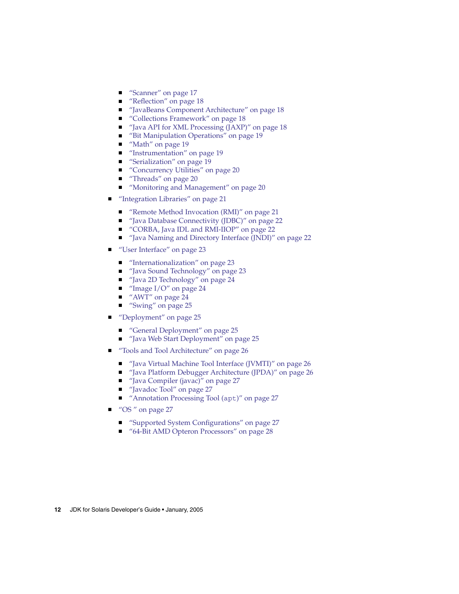- "Scanner" [on page 17](#page-16-0)
- ["Reflection"](#page-17-0) on page 18
- ["JavaBeans Component Architecture"](#page-17-0) on page 18
- ["Collections Framework"](#page-17-0) on page 18
- ["Java API for XML Processing \(JAXP\)"](#page-17-0) on page 18
- *["Bit Manipulation Operations"](#page-18-0)* on page 19
- *"*Math" [on page 19](#page-18-0)
- ["Instrumentation"](#page-18-0) on page 19
- ["Serialization"](#page-18-0) on page 19
- ["Concurrency Utilities"](#page-19-0) on page 20
- "Threads" [on page 20](#page-19-0)
- *"*Monitoring and Management" on page 20
- ["Integration Libraries"](#page-20-0) on page 21
	- ["Remote Method Invocation \(RMI\)"](#page-20-0) on page 21
	- ["Java Database Connectivity \(JDBC\)"](#page-21-0) on page 22
	- ["CORBA, Java IDL and RMI-IIOP"](#page-21-0) on page 22
	- *"*Java Naming and Directory Interface (JNDI)" on page 22
- ["User Interface"](#page-22-0) on page 23
	- ["Internationalization"](#page-22-0) on page 23
	- ["Java Sound Technology"](#page-22-0) on page 23
	- ["Java 2D Technology"](#page-23-0) on page 24
	- ["Image I/O"](#page-23-0) on page 24
	- *"AWT"* [on page 24](#page-23-0)
	- "Swing" [on page 25](#page-24-0)
- ["Deployment"](#page-24-0) on page 25
	- ["General Deployment"](#page-24-0) on page 25
	- ["Java Web Start Deployment"](#page-24-0) on page 25
- ["Tools and Tool Architecture"](#page-25-0) on page 26
	- ["Java Virtual Machine Tool Interface \(JVMTI\)"](#page-25-0) on page 26
	- ["Java Platform Debugger Architecture \(JPDA\)"](#page-25-0) on page 26
	- ["Java Compiler \(javac\)"](#page-26-0) on page 27
	- ["Javadoc Tool"](#page-26-0) on page 27
	- ["Annotation Processing Tool \(](#page-26-0)apt)" on page 27
- "OS" [on page 27](#page-26-0)
	- ["Supported System Configurations"](#page-26-0) on page 27
	- ["64-Bit AMD Opteron Processors"](#page-27-0) on page 28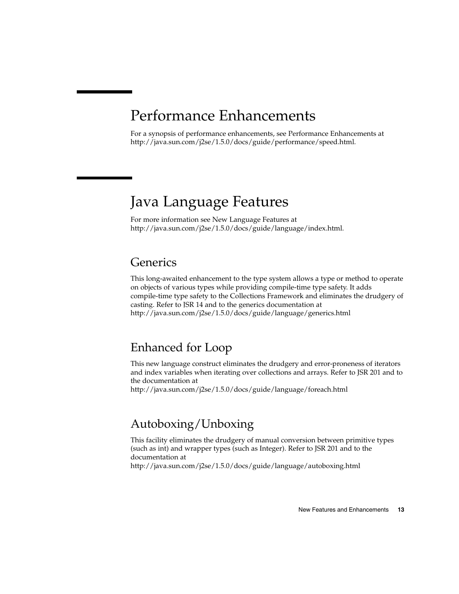### <span id="page-12-0"></span>Performance Enhancements

For a synopsis of performance enhancements, see [Performance Enhancements](http://java.sun.com/j2se/1.5.0/docs/guide/performance/speed.html) at http://java.sun.com/j2se/1.5.0/docs/guide/performance/speed.html.

## Java Language Features

For more information see [New Language Features](http://java.sun.com/j2se/1.5.0/docs/guide/language/index.html) at http://java.sun.com/j2se/1.5.0/docs/guide/language/index.html.

#### **Generics**

This long-awaited enhancement to the type system allows a type or method to operate on objects of various types while providing compile-time type safety. It adds compile-time type safety to the Collections Framework and eliminates the drudgery of casting. Refer to [JSR 14](http://jcp.org/en/jsr/detail?id=14) and to the generics documentation at [http://java.sun.com/j2se/1.5.0/docs/guide/language/generics.html.](http://java.sun.com/j2se/1.5.0/docs/guide/language/generics.html)

#### Enhanced for Loop

This new language construct eliminates the drudgery and error-proneness of iterators and index variables when iterating over collections and arrays. Refer to [JSR 201](http://jcp.org/en/jsr/detail?id=201) and to the documentation at

[http://java.sun.com/j2se/1.5.0/docs/guide/language/foreach.html.](http://java.sun.com/j2se/1.5.0/docs/guide/language/foreach.html)

#### Autoboxing/Unboxing

This facility eliminates the drudgery of manual conversion between primitive types (such as int) and wrapper types (such as Integer). Refer to [JSR 201](http://jcp.org/en/jsr/detail?id=201) and to the documentation at

[http://java.sun.com/j2se/1.5.0/docs/guide/language/autoboxing.html.](http://java.sun.com/j2se/1.5.0/docs/guide/language/autoboxing.html)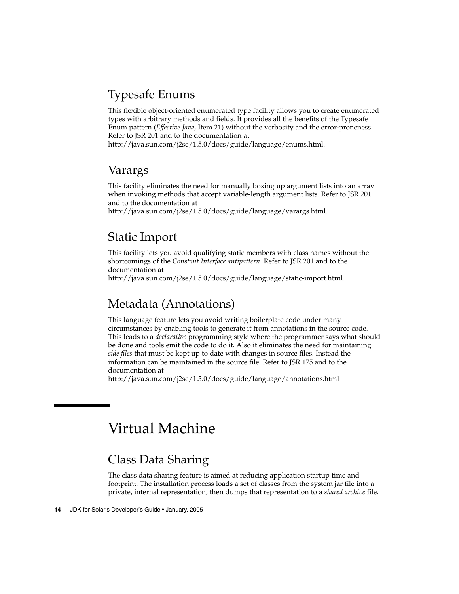### <span id="page-13-0"></span>Typesafe Enums

This flexible object-oriented enumerated type facility allows you to create enumerated types with arbitrary methods and fields. It provides all the benefits of the Typesafe Enum pattern (*Effective Java*, Item 21) without the verbosity and the error-proneness. Refer to [JSR 201](http://jcp.org/en/jsr/detail?id=201) and to the documentation at

[http://java.sun.com/j2se/1.5.0/docs/guide/language/enums.html.](http://java.sun.com/j2se/1.5.0/docs/guide/language/enums.html)

#### Varargs

This facility eliminates the need for manually boxing up argument lists into an array when invoking methods that accept variable-length argument lists. Refer to [JSR 201](http://jcp.org/en/jsr/detail?id=201) and to the documentation at

[http://java.sun.com/j2se/1.5.0/docs/guide/language/varargs.html.](http://java.sun.com/j2se/1.5.0/docs/guide/language/varargs.html)

### Static Import

This facility lets you avoid qualifying static members with class names without the shortcomings of the *Constant Interface antipattern*. Refer to [JSR 201](http://jcp.org/en/jsr/detail?id=201) and to the documentation at

[http://java.sun.com/j2se/1.5.0/docs/guide/language/static-import.html.](http://java.sun.com/j2se/1.5.0/docs/guide/language/static-import.html)

### Metadata (Annotations)

This language feature lets you avoid writing boilerplate code under many circumstances by enabling tools to generate it from annotations in the source code. This leads to a *declarative* programming style where the programmer says what should be done and tools emit the code to do it. Also it eliminates the need for maintaining *side files* that must be kept up to date with changes in source files. Instead the information can be maintained in the source file. Refer to [JSR 175](http://jcp.org/en/jsr/detail?id=175) and to the documentation at

[http://java.sun.com/j2se/1.5.0/docs/guide/language/annotations.html.](http://java.sun.com/j2se/1.5.0/docs/guide/language/annotations.html)

### Virtual Machine

#### Class Data Sharing

The class data sharing feature is aimed at reducing application startup time and footprint. The installation process loads a set of classes from the system jar file into a private, internal representation, then dumps that representation to a *shared archive* file.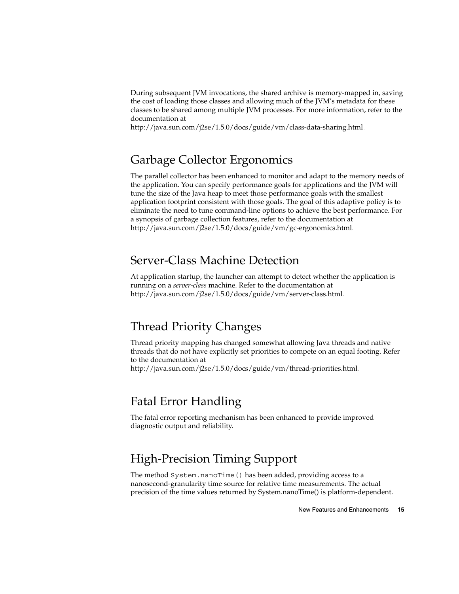<span id="page-14-0"></span>During subsequent JVM invocations, the shared archive is memory-mapped in, saving the cost of loading those classes and allowing much of the JVM's metadata for these classes to be shared among multiple JVM processes. For more information, refer to the documentation at

[http://java.sun.com/j2se/1.5.0/docs/guide/vm/class-data-sharing.html.](http://java.sun.com/j2se/1.5.0/docs/guide/vm/class-data-sharing.html)

#### Garbage Collector Ergonomics

The parallel collector has been enhanced to monitor and adapt to the memory needs of the application. You can specify performance goals for applications and the JVM will tune the size of the Java heap to meet those performance goals with the smallest application footprint consistent with those goals. The goal of this adaptive policy is to eliminate the need to tune command-line options to achieve the best performance. For a synopsis of garbage collection features, refer to the documentation at [http://java.sun.com/j2se/1.5.0/docs/guide/vm/gc-ergonomics.html.](http://java.sun.com/j2se/1.5.0/docs/guide/vm/gc-ergonomics.html)

#### Server-Class Machine Detection

At application startup, the launcher can attempt to detect whether the application is running on a *server-class* machine. Refer to the documentation at [http://java.sun.com/j2se/1.5.0/docs/guide/vm/server-class.html.](http://java.sun.com/j2se/1.5.0/docs/guide/vm/server-class.html)

#### Thread Priority Changes

Thread priority mapping has changed somewhat allowing Java threads and native threads that do not have explicitly set priorities to compete on an equal footing. Refer to the documentation at [http://java.sun.com/j2se/1.5.0/docs/guide/vm/thread-priorities.html.](http://java.sun.com/j2se/1.5.0/docs/guide/vm/thread-priorities.html)

#### Fatal Error Handling

The fatal error reporting mechanism has been enhanced to provide improved diagnostic output and reliability.

### High-Precision Timing Support

The method [System.nanoTime\(\)](http://java.sun.com/j2se/1.5.0/docs/api/java/lang/System.html#nanoTime()) has been added, providing access to a nanosecond-granularity time source for relative time measurements. The actual precision of the time values returned by System.nanoTime() is platform-dependent.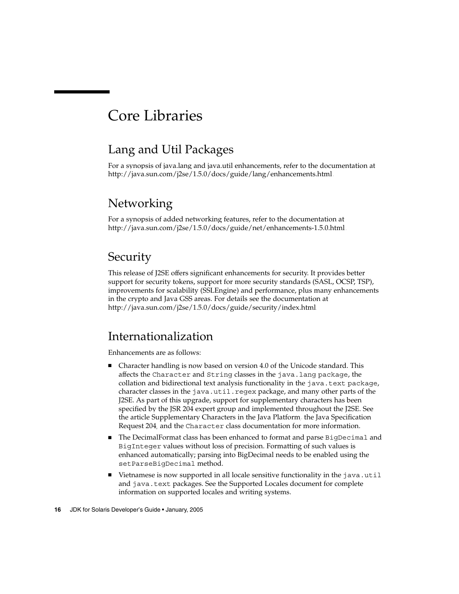### <span id="page-15-0"></span>Core Libraries

#### Lang and Util Packages

For a synopsis of java.lang and java.util enhancements, refer to the documentation at [http://java.sun.com/j2se/1.5.0/docs/guide/lang/enhancements.html.](http://java.sun.com/j2se/1.5.0/docs/guide/lang/enhancements.html)

#### Networking

For a synopsis of added networking features, refer to the documentation at [http://java.sun.com/j2se/1.5.0/docs/guide/net/enhancements-1.5.0.html.](http://java.sun.com/j2se/1.5.0/docs/guide/net/enhancements-1.5.0.html)

#### Security

This release of J2SE offers significant enhancements for security. It provides better support for security tokens, support for more security standards (SASL, OCSP, TSP), improvements for scalability (SSLEngine) and performance, plus many enhancements in the crypto and Java GSS areas. For details see the documentation at [http://java.sun.com/j2se/1.5.0/docs/guide/security/index.html.](http://java.sun.com/j2se/1.5.0/docs/guide/security/index.html)

### Internationalization

Enhancements are as follows:

- Character handling is now based on version 4.0 of the Unicode standard. This affects the Character and String classes in the java.lang package, the collation and bidirectional text analysis functionality in the java.text package, character classes in the java.util.regex package, and many other parts of the J2SE. As part of this upgrade, support for supplementary characters has been specified by the JSR 204 expert group and implemented throughout the J2SE. See the article [Supplementary Characters in the Java Platform,](http://java.sun.com/developer/technicalArticles/Intl/Supplementary/) the [Java Specification](http://jcp.org/en/jsr/detail?id=204) [Request 204,](http://jcp.org/en/jsr/detail?id=204) and the [Character](http://java.sun.com/j2se/1.5.0/docs/api/java/lang/Character.html) class documentation for more information.
- The [DecimalFormat](http://java.sun.com/j2se/1.5.0/docs/api/java/text/DecimalFormat.html) class has been enhanced to format and parse BigDecimal and BigInteger values without loss of precision. Formatting of such values is enhanced automatically; parsing into BigDecimal needs to be enabled using the [setParseBigDecimal](http://java.sun.com/j2se/1.5.0/docs/api/java/text/ DecimalFormat.html#setParseBigDecimal(boolean)) method.
- Vietnamese is now supported in all locale sensitive functionality in the  $j$ ava.util and java.text packages. See the [Supported Locales](http://java.sun.com/j2se/1.5.0/docs/guide/intl/locale.doc.html) document for complete information on supported locales and writing systems.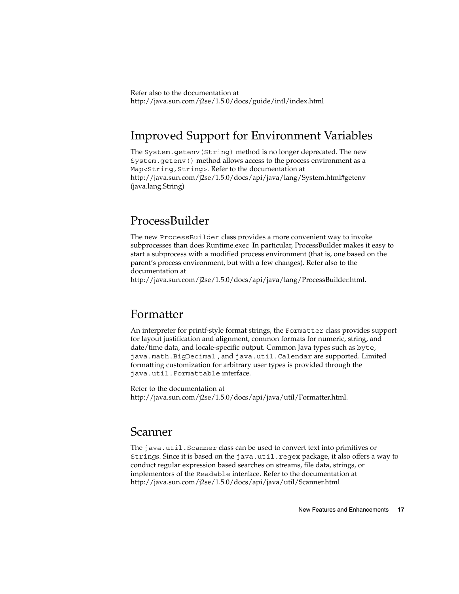<span id="page-16-0"></span>Refer also to the documentation at [http://java.sun.com/j2se/1.5.0/docs/guide/intl/index.html.](http://java.sun.com/j2se/1.5.0/docs/guide/intl/index.html)

#### Improved Support for Environment Variables

The [System.getenv\(String\)](http://java.sun.com/j2se/1.5.0/docs/api/java/lang/System.html#getenv(java.lang.String)) method is no longer deprecated. The new [System.getenv\(\)](http://java.sun.com/j2se/1.5.0/docs/api/java/lang/System.html#getenv()) method allows access to the process environment as a Map<String, String>. Refer to the documentation at [http://java.sun.com/j2se/1.5.0/docs/api/java/lang/System.html#getenv](http://java.sun.com/j2se/1.5.0/docs/api/java/lang/System.html#getenv(java.lang.String)) [\(java.lang.String\).](http://java.sun.com/j2se/1.5.0/docs/api/java/lang/System.html#getenv(java.lang.String))

#### ProcessBuilder

The new ProcessBuilder class provides a more convenient way to invoke subprocesses than does [Runtime.exec.](http://java.sun.com/j2se/1.5.0/docs/api/java/lang/Runtime.html#exec(java.lang.String,java.lang.String[],java.io.File)) In particular, ProcessBuilder makes it easy to start a subprocess with a modified process environment (that is, one based on the parent's process environment, but with a few changes). Refer also to the documentation at

[http://java.sun.com/j2se/1.5.0/docs/api/java/lang/ProcessBuilder.html.](http://java.sun.com/j2se/1.5.0/docs/api/java/lang/ProcessBuilder.html)

#### Formatter

An interpreter for printf-style format strings, the Formatter class provides support for layout justification and alignment, common formats for numeric, string, and date/time data, and locale-specific output. Common Java types such as byte, [java.math.BigDecimal](http://java.sun.com/j2se/1.5.0/docs/api/java/math/BigDecimal.html) , and [java.util.Calendar](http://java.sun.com/j2se/1.5.0/docs/api/java/util/Calendar.html) are supported. Limited formatting customization for arbitrary user types is provided through the [java.util.Formattable](http://java.sun.com/j2se/1.5.0/docs/api/java/util/Formattable.html) interface.

Refer to the documentation at http://java.sun.com/j2se/1.5.0/docs/api/java/util/Formatter.html.

#### Scanner

The java.util.Scanner class can be used to convert text into primitives or Strings. Since it is based on the [java.util.regex](http://java.sun.com/j2se/1.5.0/docs/api/java/util/regex/package-summary.html) package, it also offers a way to conduct regular expression based searches on streams, file data, strings, or implementors of the [Readable](http://java.sun.com/j2se/1.5.0/docs/api/java/lang/Readable.html) interface. Refer to the documentation at [http://java.sun.com/j2se/1.5.0/docs/api/java/util/Scanner.html.](http://java.sun.com/j2se/1.5.0/docs/api/java/util/Scanner.html)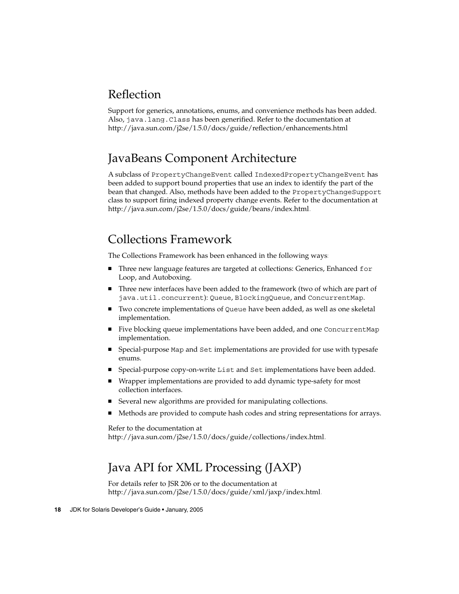#### <span id="page-17-0"></span>Reflection

Support for generics, annotations, enums, and convenience methods has been added. Also, java.lang.Class has been generified. Refer to the documentation at [http://java.sun.com/j2se/1.5.0/docs/guide/reflection/enhancements.html.](http://java.sun.com/j2se/1.5.0/docs/guide/reflection/enhancements.html)

#### JavaBeans Component Architecture

A subclass of PropertyChangeEvent called IndexedPropertyChangeEvent has been added to support bound properties that use an index to identify the part of the bean that changed. Also, methods have been added to the PropertyChangeSupport class to support firing indexed property change events. Refer to the documentation at [http://java.sun.com/j2se/1.5.0/docs/guide/beans/index.html.](http://java.sun.com/j2se/1.5.0/docs/guide/beans/index.html)

#### Collections Framework

The Collections Framework has been enhanced in the [following ways:](http://java.sun.com/j2se/1.5.0/docs/guide/collections/changes5.html)

- Three new language features are targeted at collections: Generics, Enhanced for Loop, and Autoboxing.
- Three new interfaces have been added to the framework (two of which are part of java.util.concurrent): Queue, BlockingQueue, and ConcurrentMap.
- Two concrete implementations of Queue have been added, as well as one skeletal implementation.
- Five blocking queue implementations have been added, and one ConcurrentMap implementation.
- Special-purpose Map and Set implementations are provided for use with typesafe enums.
- Special-purpose copy-on-write List and Set implementations have been added.
- Wrapper implementations are provided to add dynamic type-safety for most collection interfaces.
- Several new algorithms are provided for manipulating collections.
- Methods are provided to compute hash codes and string representations for arrays.

Refer to the documentation at [http://java.sun.com/j2se/1.5.0/docs/guide/collections/index.html.](http://java.sun.com/j2se/1.5.0/docs/guide/collections/index.html)

### Java API for XML Processing (JAXP)

For details refer to [JSR 206](http://jcp.org/en/jsr/detail?id=206) or to the documentation at [http://java.sun.com/j2se/1.5.0/docs/guide/xml/jaxp/index.html.](http://java.sun.com/j2se/1.5.0/docs/guide/xml/jaxp/index.html)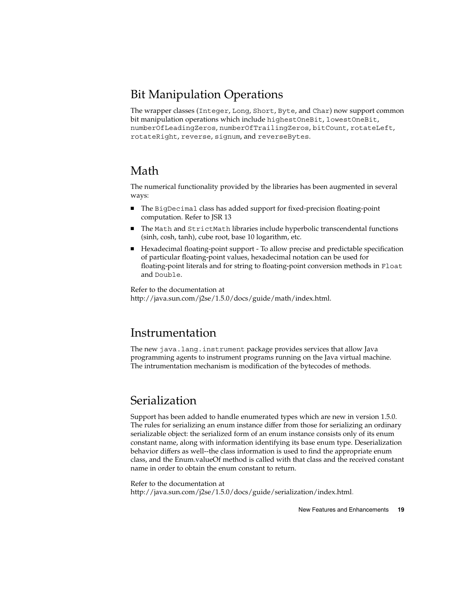#### <span id="page-18-0"></span>Bit Manipulation Operations

The wrapper classes (Integer, Long, Short, Byte, and Char) now support common bit manipulation operations which include highestOneBit, lowestOneBit, numberOfLeadingZeros, numberOfTrailingZeros, bitCount, rotateLeft, rotateRight, reverse, signum, and reverseBytes.

#### Math

The numerical functionality provided by the libraries has been augmented in several ways:

- The BigDecimal class has added support for fixed-precision floating-point computation. Refer to [JSR 13.](http://jcp.org/en/jsr/detail?id=13)
- The Math and StrictMath libraries include hyperbolic transcendental functions (sinh, cosh, tanh), cube root, base 10 logarithm, etc.
- Hexadecimal floating-point support To allow precise and predictable specification of particular floating-point values, hexadecimal notation can be used for floating-point literals and for string to floating-point conversion methods in Float and Double.

Refer to the documentation at [http://java.sun.com/j2se/1.5.0/docs/guide/math/index.html.](http://java.sun.com/j2se/1.5.0/docs/guide/math/index.html)

#### Instrumentation

The new [java.lang.instrument](http://java.sun.com/j2se/1.5.0/docs/api/java/lang/instrument/package-summary.html) package provides services that allow Java programming agents to instrument programs running on the Java virtual machine. The intrumentation mechanism is modification of the bytecodes of methods.

#### Serialization

Support has been added to handle enumerated types which are new in version 1.5.0. The rules for serializing an enum instance differ from those for serializing an ordinary serializable object: the serialized form of an enum instance consists only of its enum constant name, along with information identifying its base enum type. Deserialization behavior differs as well--the class information is used to find the appropriate enum class, and the Enum.valueOf method is called with that class and the received constant name in order to obtain the enum constant to return.

Refer to the documentation at [http://java.sun.com/j2se/1.5.0/docs/guide/serialization/index.html.](http://java.sun.com/j2se/1.5.0/docs/guide/serialization/index.html)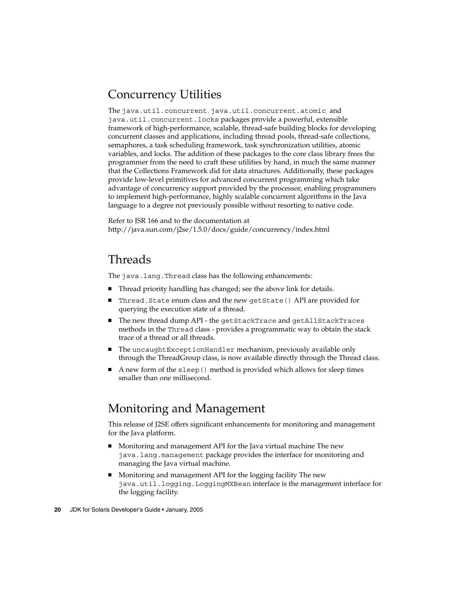### <span id="page-19-0"></span>Concurrency Utilities

The [java.util.concurrent](http://java.sun.com/j2se/1.5.0/docs/api/java/util/concurrent/package-summary.html), [java.util.concurrent.atomic](http://java.sun.com/j2se/1.5.0/docs/api/java/util/concurrent/atomic/package-summary.html), [and](http://java.sun.com/j2se/1.5.0/docs/api/java/util/concurrent/locks/package-summary.html) [java.util.concurrent.locks](http://java.sun.com/j2se/1.5.0/docs/api/java/util/concurrent/locks/package-summary.html) packages provide a powerful, extensible framework of high-performance, scalable, thread-safe building blocks for developing concurrent classes and applications, including thread pools, thread-safe collections, semaphores, a task scheduling framework, task synchronization utilities, atomic variables, and locks. The addition of these packages to the core class library frees the programmer from the need to craft these utilities by hand, in much the same manner that the Collections Framework did for data structures. Additionally, these packages provide low-level primitives for advanced concurrent programming which take advantage of concurrency support provided by the processor, enabling programmers to implement high-performance, highly scalable concurrent algorithms in the Java language to a degree not previously possible without resorting to native code.

Refer to [JSR 166](http://jcp.org/en/jsr/detail?id=166) and to the documentation at [http://java.sun.com/j2se/1.5.0/docs/guide/concurrency/index.html.](http://java.sun.com/j2se/1.5.0/docs/guide/concurrency/index.html)

### Threads

The java.lang.Thread class has the following enhancements:

- [Thread priority](http://java.sun.com/j2se/1.5.0/docs/guide/vm/thread-priorities.html) handling has changed; see the above link for details.
- Thread. State enum class and the new getState () API are provided for querying the execution state of a thread.
- The new thread dump API the [getStackTrace](http://java.sun.com/j2se/1.5.0/docs/api/java/lang/Thread.html#getStackTrace()) and [getAllStackTraces](http://java.sun.com/j2se/1.5.0/docs/api/java/lang/Thread.html#getAllStackTraces()) methods in the Thread class - provides a programmatic way to obtain the stack trace of a thread or all threads.
- The [uncaughtExceptionHandler](http://java.sun.com/j2se/1.5.0/docs/api/java/lang/Thread.html#setUncaughtExceptionHandler(java.lang.Thread.UncaughtExceptionH andler)) mechanism, previously available only through the ThreadGroup class, is now available directly through the Thread class.
- A new form of the sleep () method is provided which allows for sleep times smaller than one millisecond.

### Monitoring and Management

This release of J2SE offers significant enhancements for monitoring and management for the Java platform.

- Monitoring and management API for the Java virtual machine The new [java.lang.management](http://java.sun.com/j2se/1.5.0/docs/api/java/lang/management/package-summary.html) package provides the interface for monitoring and managing the Java virtual machine.
- Monitoring and management API for the logging facility The new [java.util.logging.LoggingMXBean](http://java.sun.com/j2se/1.5.0/docs/api/java/util/logging/LoggingMXBean.html) interface is the management interface for the logging facility.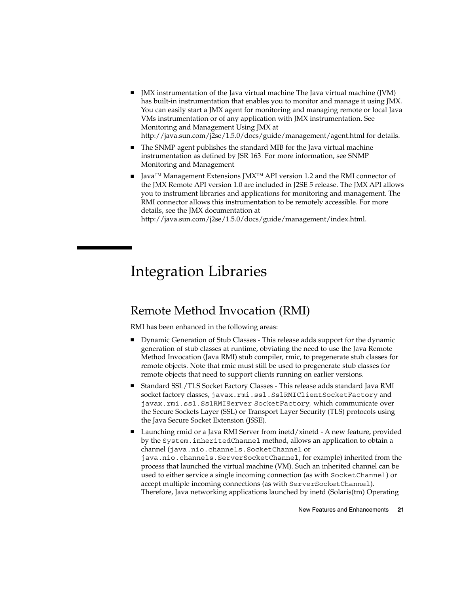- <span id="page-20-0"></span>■ JMX instrumentation of the Java virtual machine The Java virtual machine (JVM) has built-in instrumentation that enables you to monitor and manage it using JMX. You can easily start a JMX agent for monitoring and managing remote or local Java VMs instrumentation or of any application with JMX instrumentation. See [Monitoring and Management Using JMX](http://java.sun.com/j2se/1.5.0/docs/guide/management/agent.html) at http://java.sun.com/j2se/1.5.0/docs/guide/management/agent.html for details.
- The SNMP agent publishes the standard MIB for the Java virtual machine instrumentation as defined by [JSR 163.](http://jcp.org/en/jsr/detail?id=163) For more information, see [SNMP](http://java.sun.com/j2se/1.5.0/docs/guide/management/SNMP.html) [Monitoring and Management.](http://java.sun.com/j2se/1.5.0/docs/guide/management/SNMP.html)
- Java<sup>™</sup> Management Extensions JMX<sup>™</sup> API version 1.2 and the RMI connector of the JMX Remote API version 1.0 are included in J2SE 5 release. The JMX API allows you to instrument libraries and applications for monitoring and management. The RMI connector allows this instrumentation to be remotely accessible. For more details, see the [JMX documentation](http://java.sun.com/j2se/1.5.0/docs/guide/jmx/index.html) at http://java.sun.com/j2se/1.5.0/docs/guide/management/index.html.

### Integration Libraries

#### Remote Method Invocation (RMI)

RMI has been enhanced in the following areas:

- Dynamic Generation of Stub Classes This release adds support for the dynamic generation of stub classes at runtime, obviating the need to use the Java Remote Method Invocation (Java RMI) stub compiler, rmic, to pregenerate stub classes for remote objects. Note that rmic must still be used to pregenerate stub classes for remote objects that need to support clients running on earlier versions.
- Standard SSL/TLS Socket Factory Classes This release adds standard Java RMI socket factory classes, [javax.rmi.ssl.SslRMIClientSocketFactory](http://java.sun.com/j2se/1.5.0/docs/api/javax/rmi/ssl/SslRMIClientSocketFactory.html) and [javax.rmi.ssl.SslRMIServer SocketFactory](http://java.sun.com/j2se/1.5.0/docs/api/javax/rmi/ssl/SslRMIServerSocketFactory.html), which communicate over the Secure Sockets Layer (SSL) or Transport Layer Security (TLS) protocols using the Java Secure Socket Extension (JSSE).
- Launching rmid or a Java RMI Server from inetd/xinetd A new feature, provided by the System.inheritedChannel method, allows an application to obtain a channel (java.nio.channels.SocketChannel or java.nio.channels.ServerSocketChannel, for example) inherited from the process that launched the virtual machine (VM). Such an inherited channel can be used to either service a single incoming connection (as with SocketChannel) or accept multiple incoming connections (as with ServerSocketChannel). Therefore, Java networking applications launched by inetd (Solaris(tm) Operating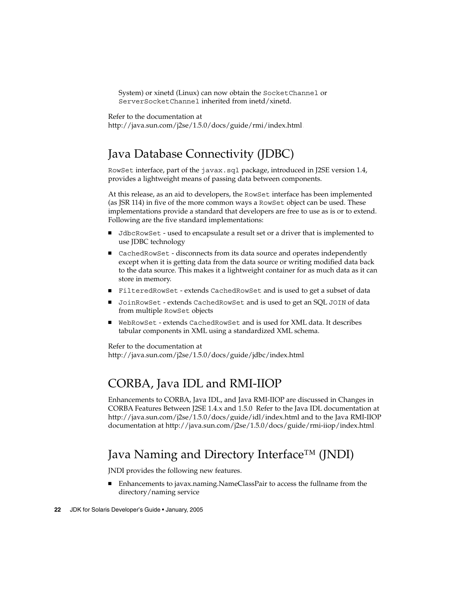<span id="page-21-0"></span>System) or xinetd (Linux) can now obtain the SocketChannel or ServerSocketChannel inherited from inetd/xinetd.

Refer to the documentation at

[http://java.sun.com/j2se/1.5.0/docs/guide/rmi/index.html.](http://java.sun.com/j2se/1.5.0/docs/guide/rmi/index.html)

### Java Database Connectivity (JDBC)

[RowSet](http://java.sun.com/j2se/1.5.0/docs/api/javax/sql/RowSet.html) interface, part of the [javax.sql](http://java.sun.com/j2se/1.5.0/docs/api/javax/sql/package-summary.html) package, introduced in J2SE version 1.4, provides a lightweight means of passing data between components.

At this release, as an aid to developers, the RowSet interface has been implemented (as JSR 114) in five of the more common ways a RowSet object can be used. These implementations provide a standard that developers are free to use as is or to extend. Following are the five standard implementations:

- JdbcRowSet used to encapsulate a result set or a driver that is implemented to use JDBC technology
- CachedRowSet disconnects from its data source and operates independently except when it is getting data from the data source or writing modified data back to the data source. This makes it a lightweight container for as much data as it can store in memory.
- FilteredRowSet extends CachedRowSet and is used to get a subset of data
- JoinRowSet extends CachedRowSet and is used to get an SQL JOIN of data from multiple RowSet objects
- WebRowSet extends CachedRowSet and is used for XML data. It describes tabular components in XML using a standardized XML schema.

Refer to the documentation at

[http://java.sun.com/j2se/1.5.0/docs/guide/jdbc/index.html.](http://java.sun.com/j2se/1.5.0/docs/guide/jdbc/index.html)

#### CORBA, Java IDL and RMI-IIOP

Enhancements to CORBA, Java IDL, and Java RMI-IIOP are discussed in [Changes in](http://java.sun.com/j2se/1.5.0/docs/guide/idl/jidlChanges.html) [CORBA Features Between J2SE 1.4.x and 1.5.0.](http://java.sun.com/j2se/1.5.0/docs/guide/idl/jidlChanges.html) Refer to the Java IDL documentation at <http://java.sun.com/j2se/1.5.0/docs/guide/idl/index.html> and to the Java RMI-IIOP documentation at [http://java.sun.com/j2se/1.5.0/docs/guide/rmi-iiop/index.html.](http://java.sun.com/j2se/1.5.0/docs/guide/rmi-iiop/index.html)

#### Java Naming and Directory Interface™ (JNDI)

JNDI provides the following new features.

■ Enhancements to javax.naming.NameClassPair to access the fullname from the directory/naming service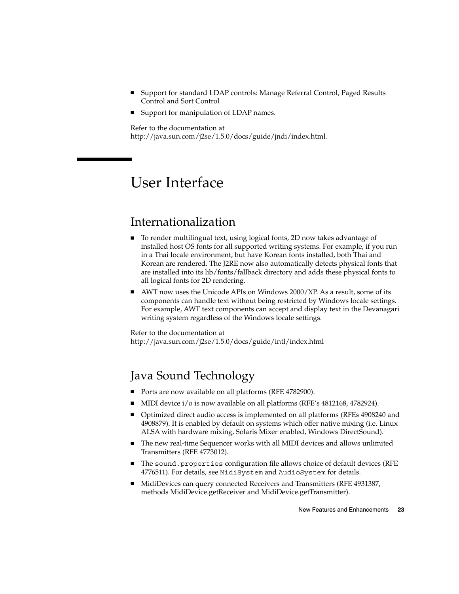- <span id="page-22-0"></span>■ Support for standard LDAP controls: Manage Referral Control, Paged Results Control and Sort Control
- Support for manipulation of LDAP names.

Refer to the documentation at [http://java.sun.com/j2se/1.5.0/docs/guide/jndi/index.html.](http://java.sun.com/j2se/1.5.0/docs/guide/jndi/index.html)

### User Interface

#### Internationalization

- To render multilingual text, using logical fonts, 2D now takes advantage of installed host OS fonts for all supported writing systems. For example, if you run in a Thai locale environment, but have Korean fonts installed, both Thai and Korean are rendered. The J2RE now also automatically detects physical fonts that are installed into its lib/fonts/fallback directory and adds these physical fonts to all logical fonts for 2D rendering.
- AWT now uses the Unicode APIs on Windows 2000/XP. As a result, some of its components can handle text without being restricted by Windows locale settings. For example, AWT text components can accept and display text in the Devanagari writing system regardless of the Windows locale settings.

Refer to the documentation at [http://java.sun.com/j2se/1.5.0/docs/guide/intl/index.html.](http://java.sun.com/j2se/1.5.0/docs/guide/intl/index.html)

#### Java Sound Technology

- Ports are now available on all platforms (RFE 4782900).
- MIDI device i/o is now available on all platforms (RFE's 4812168, 4782924).
- Optimized direct audio access is implemented on all platforms (RFEs 4908240 and 4908879). It is enabled by default on systems which offer native mixing (i.e. Linux ALSA with hardware mixing, Solaris Mixer enabled, Windows DirectSound).
- The new real-time Sequencer works with all MIDI devices and allows unlimited Transmitters (RFE 4773012).
- The sound.properties configuration file allows choice of default devices (RFE 4776511). For details, see MidiSystem and AudioSystem for details.
- MidiDevices can query connected Receivers and Transmitters (RFE 4931387, methods MidiDevice.getReceiver and MidiDevice.getTransmitter).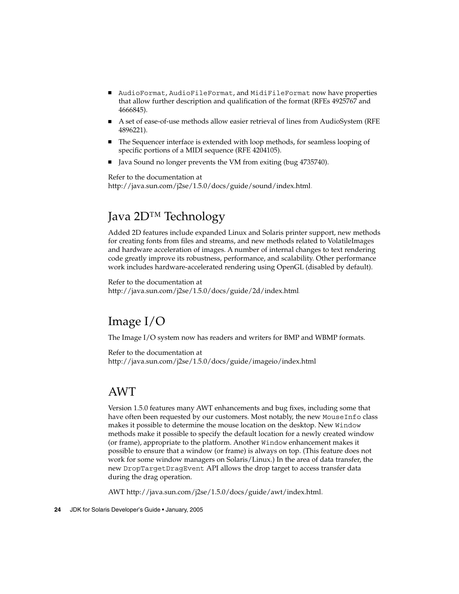- <span id="page-23-0"></span>■ AudioFormat, AudioFileFormat, and MidiFileFormat now have properties that allow further description and qualification of the format (RFEs 4925767 and 4666845).
- A set of ease-of-use methods allow easier retrieval of lines from AudioSystem (RFE 4896221).
- The Sequencer interface is extended with loop methods, for seamless looping of specific portions of a MIDI sequence (RFE 4204105).
- Java Sound no longer prevents the VM from exiting (bug 4735740).

Refer to the documentation at

[http://java.sun.com/j2se/1.5.0/docs/guide/sound/index.html.](http://java.sun.com/j2se/1.5.0/docs/guide/sound/index.html)

#### Java 2D™ Technology

Added 2D features include expanded Linux and Solaris printer support, new methods for creating fonts from files and streams, and new methods related to VolatileImages and hardware acceleration of images. A number of internal changes to text rendering code greatly improve its robustness, performance, and scalability. Other performance work includes hardware-accelerated rendering using OpenGL (disabled by default).

Refer to the documentation at [http://java.sun.com/j2se/1.5.0/docs/guide/2d/index.html.](http://java.sun.com/j2se/1.5.0/docs/guide/2d/index.html)

#### Image I/O

The Image I/O system now has readers and writers for BMP and WBMP formats.

Refer to the documentation at [http://java.sun.com/j2se/1.5.0/docs/guide/imageio/index.html.](http://java.sun.com/j2se/1.5.0/docs/guide/imageio/index.html)

#### AWT

Version 1.5.0 features many AWT enhancements and bug fixes, including some that have often been requested by our customers. Most notably, the new MouseInfo class makes it possible to determine the mouse location on the desktop. New Window methods make it possible to specify the default location for a newly created window (or frame), appropriate to the platform. Another Window enhancement makes it possible to ensure that a window (or frame) is always on top. (This feature does not work for some window managers on Solaris/Linux.) In the area of data transfer, the new DropTargetDragEvent API allows the drop target to access transfer data during the drag operation.

[AWT http://java.sun.com/j2se/1.5.0/docs/guide/awt/index.html.](http://java.sun.com/j2se/1.5.0/docs/guide/awt/index.html)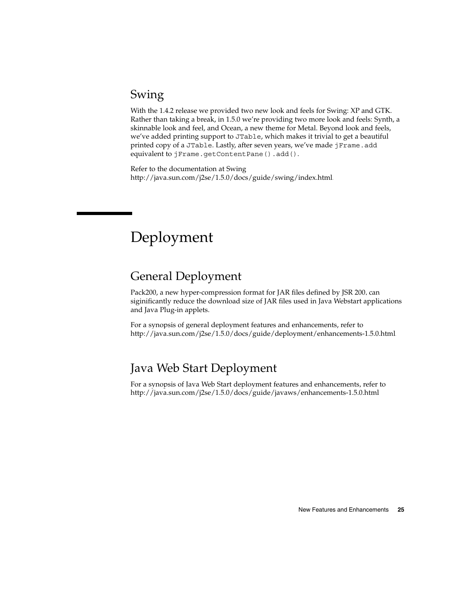#### <span id="page-24-0"></span>Swing

With the 1.4.2 release we provided two new look and feels for Swing: XP and GTK. Rather than taking a break, in 1.5.0 we're providing two more look and feels: Synth, a skinnable look and feel, and Ocean, a new theme for Metal. Beyond look and feels, we've added printing support to JTable, which makes it trivial to get a beautiful printed copy of a JTable. Lastly, after seven years, we've made jFrame.add equivalent to jFrame.getContentPane().add().

Refer to the documentation at [Swing](http://java.sun.com/j2se/1.5.0/docs/guide/swing/index.html) [http://java.sun.com/j2se/1.5.0/docs/guide/swing/index.html.](http://java.sun.com/j2se/1.5.0/docs/guide/swing/index.html)

### Deployment

#### General Deployment

Pack200, a new hyper-compression format for JAR files defined by [JSR 200,](http://jcp.org/en/jsr/detail?id=200) can siginificantly reduce the download size of JAR files used in Java Webstart applications and Java Plug-in applets.

For a synopsis of general deployment features and enhancements, refer to [http://java.sun.com/j2se/1.5.0/docs/guide/deployment/enhancements-1.5.0.html.](http://java.sun.com/j2se/1.5.0/docs/guide/deployment/enhancements-1.5.0.html)

### Java Web Start Deployment

For a synopsis of Java Web Start deployment features and enhancements, refer to <http://java.sun.com/j2se/1.5.0/docs/guide/javaws/enhancements-1.5.0.html>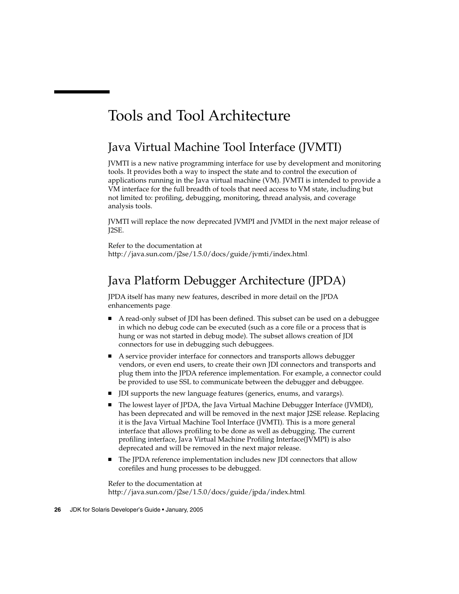### <span id="page-25-0"></span>Tools and Tool Architecture

#### Java Virtual Machine Tool Interface (JVMTI)

JVMTI is a new native programming interface for use by development and monitoring tools. It provides both a way to inspect the state and to control the execution of applications running in the Java virtual machine (VM). JVMTI is intended to provide a VM interface for the full breadth of tools that need access to VM state, including but not limited to: profiling, debugging, monitoring, thread analysis, and coverage analysis tools.

JVMTI will replace the now deprecated JVMPI and JVMDI in the next major release of J2SE.

Refer to the documentation at [http://java.sun.com/j2se/1.5.0/docs/guide/jvmti/index.html.](http://java.sun.com/j2se/1.5.0/docs/guide/jvmti/index.html)

#### Java Platform Debugger Architecture (JPDA)

JPDA itself has many new features, described in more detail on the [JPDA](http://java.sun.com/j2se/1.5.0/docs/guide/jpda/enhancements.html) [enhancements page.](http://java.sun.com/j2se/1.5.0/docs/guide/jpda/enhancements.html)

- A read-only subset of JDI has been defined. This subset can be used on a debuggee in which no debug code can be executed (such as a core file or a process that is hung or was not started in debug mode). The subset allows creation of JDI connectors for use in debugging such debuggees.
- A service provider interface for connectors and transports allows debugger vendors, or even end users, to create their own JDI connectors and transports and plug them into the JPDA reference implementation. For example, a connector could be provided to use SSL to communicate between the debugger and debuggee.
- JDI supports the new language features (generics, enums, and varargs).
- The lowest layer of JPDA, the Java Virtual Machine Debugger Interface (JVMDI), has been deprecated and will be removed in the next major J2SE release. Replacing it is the Java Virtual Machine Tool Interface (JVMTI). This is a more general interface that allows profiling to be done as well as debugging. The current profiling interface, Java Virtual Machine Profiling Interface(JVMPI) is also deprecated and will be removed in the next major release.
- The JPDA reference implementation includes new JDI connectors that allow corefiles and hung processes to be debugged.

Refer to the documentation at [http://java.sun.com/j2se/1.5.0/docs/guide/jpda/index.html.](http://java.sun.com/j2se/1.5.0/docs/guide/jpda/index.html)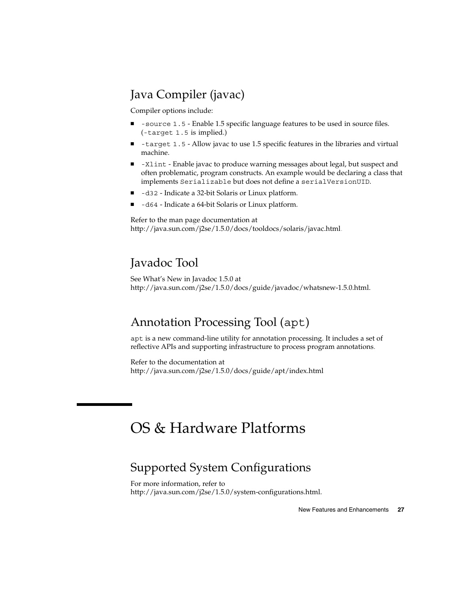#### <span id="page-26-0"></span>Java Compiler (javac)

Compiler options include:

- -source 1.5 Enable 1.5 specific language features to be used in source files. (-target 1.5 is implied.)
- -target 1.5 Allow javac to use 1.5 specific features in the libraries and virtual machine.
- -Xlint Enable javac to produce warning messages about legal, but suspect and often problematic, program constructs. An example would be declaring a class that implements Serializable but does not define a serialVersionUID.
- -d32 Indicate a 32-bit Solaris or Linux platform.
- -d64 Indicate a 64-bit Solaris or Linux platform.

Refer to the man page documentation at [http://java.sun.com/j2se/1.5.0/docs/tooldocs/solaris/javac.html.](http://java.sun.com/j2se/1.5.0/docs/tooldocs/solaris/javac.html)

#### Javadoc Tool

See [What's New in Javadoc 1.5.0](http://java.sun.com/j2se/1.5.0/docs/guide/javadoc/whatsnew-1.5.0.html) at http://java.sun.com/j2se/1.5.0/docs/guide/javadoc/whatsnew-1.5.0.html.

#### Annotation Processing Tool (apt)

apt is a new command-line utility for annotation processing. It includes a set of reflective APIs and supporting infrastructure to process program [annotations.](http://www.jcp.org/en/jsr/detail?id=175)

Refer to the documentation at [http://java.sun.com/j2se/1.5.0/docs/guide/apt/index.html.](http://java.sun.com/j2se/1.5.0/docs/guide/apt/index.html)

### OS & Hardware Platforms

#### Supported System Configurations

For more information, refer to [http://java.sun.com/j2se/1.5.0/system-configurations.html.](http://java.sun.com/j2se/1.5.0/system-configurations.html)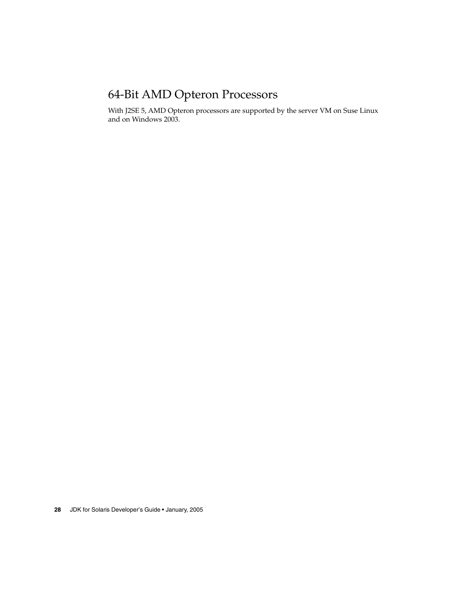### <span id="page-27-0"></span>64-Bit AMD Opteron Processors

With J2SE 5, AMD Opteron processors are supported by the server VM on Suse Linux and on Windows 2003.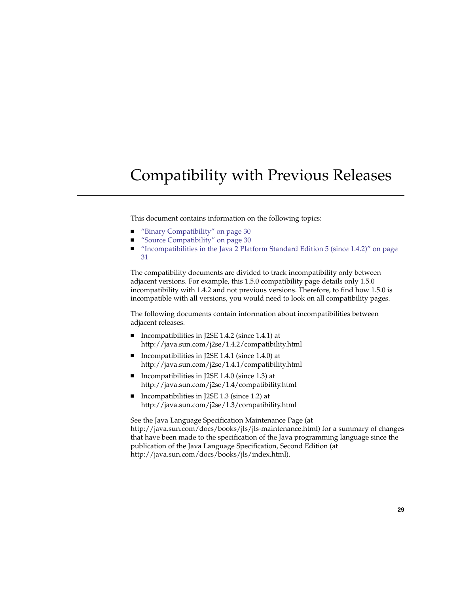## <span id="page-28-0"></span>Compatibility with Previous Releases

This document contains information on the following topics:

- ["Binary Compatibility"](#page-29-0) on page 30
- ["Source Compatibility"](#page-29-0) on page 30
- ["Incompatibilities in the Java 2 Platform Standard Edition 5 \(since 1.4.2\)"](#page-30-0) on page [31](#page-30-0)

The compatibility documents are divided to track incompatibility only between adjacent versions. For example, this 1.5.0 compatibility page details only 1.5.0 incompatibility with 1.4.2 and not previous versions. Therefore, to find how 1.5.0 is incompatible with all versions, you would need to look on all compatibility pages.

The following documents contain information about incompatibilities between adjacent releases.

- [Incompatibilities in J2SE 1.4.2 \(since 1.4.1\) at](http://java.sun.com/j2se/1.4.2/compatibility.html) <http://java.sun.com/j2se/1.4.2/compatibility.html>
- [Incompatibilities in J2SE 1.4.1 \(since 1.4.0\) at](http://java.sun.com/j2se/1.4.1/compatibility.html) <http://java.sun.com/j2se/1.4.1/compatibility.html>
- [Incompatibilities in J2SE 1.4.0 \(since 1.3\) at](http://java.sun.com/j2se/1.4/compatibility.html) <http://java.sun.com/j2se/1.4/compatibility.html>
- [Incompatibilities in J2SE 1.3 \(since 1.2\) at](http://java.sun.com/j2se/1.3/compatibility.html) <http://java.sun.com/j2se/1.3/compatibility.html>

See the [Java Language Specification Maintenance Page](http://java.sun.com/docs/books/jls/jls-maintenance.html) (at http://java.sun.com/docs/books/jls/jls-maintenance.html) for a summary of changes that have been made to the specification of the Java programming language since the publication of the [Java Language Specification, Second Edition](http://java.sun.com/docs/books/jls/index.html) (at http://java.sun.com/docs/books/jls/index.html).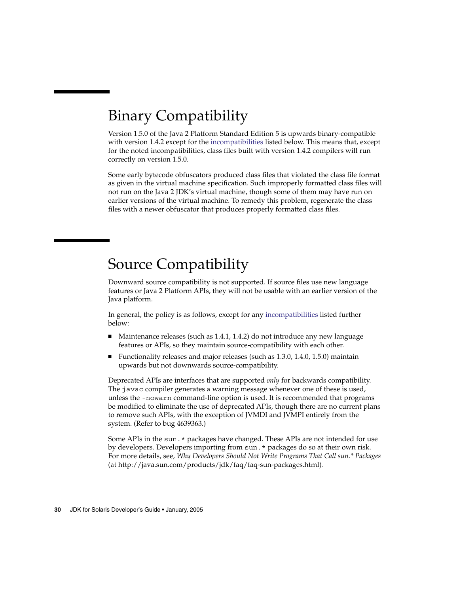### <span id="page-29-0"></span>Binary Compatibility

Version 1.5.0 of the Java 2 Platform Standard Edition 5 is upwards binary-compatible with version 1.4.2 except for the [incompatibilities](#page-30-0) listed below. This means that, except for the noted incompatibilities, class files built with version 1.4.2 compilers will run correctly on version 1.5.0.

Some early bytecode obfuscators produced class files that violated the class file format as given in the virtual machine specification. Such improperly formatted class files will not run on the Java 2 JDK's virtual machine, though some of them may have run on earlier versions of the virtual machine. To remedy this problem, regenerate the class files with a newer obfuscator that produces properly formatted class files.

### Source Compatibility

Downward source compatibility is not supported. If source files use new language features or Java 2 Platform APIs, they will not be usable with an earlier version of the Java platform.

In general, the policy is as follows, except for any [incompatibilities](#page-30-0) listed further below:

- Maintenance releases (such as 1.4.1, 1.4.2) do not introduce any new language features or APIs, so they maintain source-compatibility with each other.
- Functionality releases and major releases (such as 1.3.0, 1.4.0, 1.5.0) maintain upwards but not downwards source-compatibility.

Deprecated APIs are interfaces that are supported *only* for backwards compatibility. The javac compiler generates a warning message whenever one of these is used, unless the -nowarn command-line option is used. It is recommended that programs be modified to eliminate the use of deprecated APIs, though there are no current plans to remove such APIs, with the exception of JVMDI and JVMPI entirely from the system. (Refer to bug 4639363.)

Some APIs in the sun.\* packages have changed. These APIs are not intended for use by developers. Developers importing from sun.\* packages do so at their own risk. For more details, see, *Why Developers Should Not Write Programs That Call sun.\* Packages* [\(at http://java.sun.com/products/jdk/faq/faq-sun-packages.html\).](http://java.sun.com/products/jdk/faq/faq-sun-packages.html)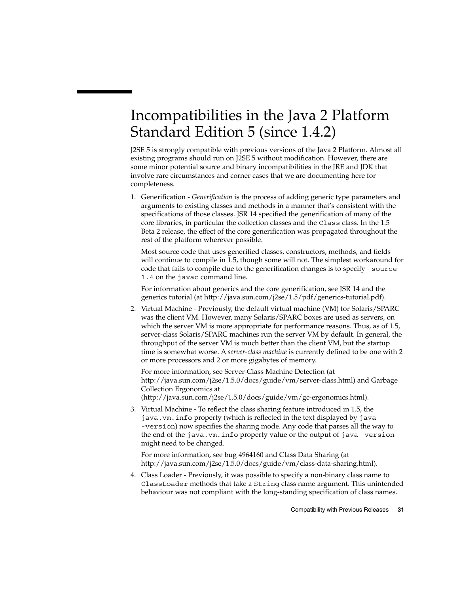### <span id="page-30-0"></span>Incompatibilities in the Java 2 Platform Standard Edition 5 (since 1.4.2)

J2SE 5 is strongly compatible with previous versions of the Java 2 Platform. Almost all existing programs should run on J2SE 5 without modification. However, there are some minor potential source and binary incompatibilities in the JRE and JDK that involve rare circumstances and corner cases that we are documenting here for completeness.

1. Generification - *Generification* is the process of adding generic type parameters and arguments to existing classes and methods in a manner that's consistent with the specifications of those classes. JSR 14 specified the generification of many of the core libraries, in particular the collection classes and the Class class. In the 1.5 Beta 2 release, the effect of the core generification was propagated throughout the rest of the platform wherever possible.

Most source code that uses generified classes, constructors, methods, and fields will continue to compile in 1.5, though some will not. The simplest workaround for code that fails to compile due to the generification changes is to specify -source 1.4 on the javac command line.

For information about generics and the core generification, see JSR 14 and the [generics tutorial](http://java.sun.com/j2se/1.5/pdf/generics-tutorial.pdf) (at http://java.sun.com/j2se/1.5/pdf/generics-tutorial.pdf).

2. Virtual Machine - Previously, the default virtual machine (VM) for Solaris/SPARC was the client VM. However, many Solaris/SPARC boxes are used as servers, on which the server VM is more appropriate for performance reasons. Thus, as of 1.5, server-class Solaris/SPARC machines run the server VM by default. In general, the throughput of the server VM is much better than the client VM, but the startup time is somewhat worse. A *server-class machine* is currently defined to be one with 2 or more processors and 2 or more gigabytes of memory.

For more information, see [Server-Class Machine Detection](http://java.sun.com/j2se/1.5.0/docs/guide/vm/server-class.html) (at http://java.sun.com/j2se/1.5.0/docs/guide/vm/server-class.html) and [Garbage](http://java.sun.com/j2se/1.5.0/docs/guide/vm/gc-ergonomics.html) [Collection Ergonomics](http://java.sun.com/j2se/1.5.0/docs/guide/vm/gc-ergonomics.html) at

(http://java.sun.com/j2se/1.5.0/docs/guide/vm/gc-ergonomics.html).

3. Virtual Machine - To reflect the class sharing feature introduced in 1.5, the java.vm.info property (which is reflected in the text displayed by java -version) now specifies the sharing mode. Any code that parses all the way to the end of the java.vm.info property value or the output of java -version might need to be changed.

For more information, see bug [4964160](http://developer.java.sun.com/developer/bugParade/bugs/4964160.html) and [Class Data Sharing](http://java.sun.com/j2se/1.5.0/docs/guide/vm/class-data-sharing.html) (at http://java.sun.com/j2se/1.5.0/docs/guide/vm/class-data-sharing.html).

4. Class Loader - Previously, it was possible to specify a non-binary class name to ClassLoader methods that take a String class name argument. This unintended behaviour was not compliant with the long-standing specification of class names.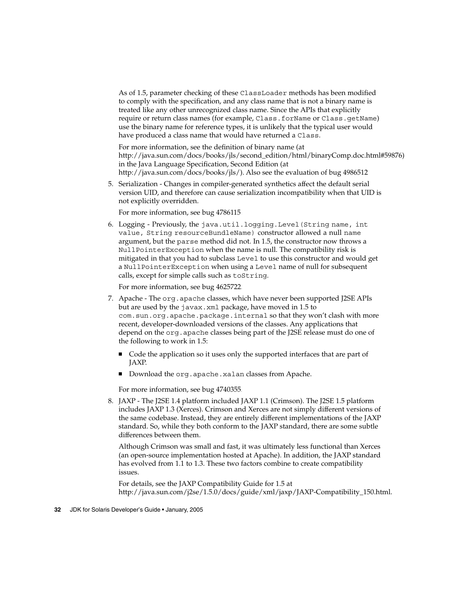As of 1.5, parameter checking of these ClassLoader methods has been modified to comply with the specification, and any class name that is not a binary name is treated like any other unrecognized class name. Since the APIs that explicitly require or return class names (for example, Class.forName or Class.qetName) use the binary name for reference types, it is unlikely that the typical user would have produced a class name that would have returned a Class.

For more information, see the definition of [binary name](http://java.sun.com/docs/books/jls/second_edition/html/binaryComp.doc.html#59876) (at http://java.sun.com/docs/books/jls/second\_edition/html/binaryComp.doc.html#59876) in the [Java Language Specification, Second Edition](http://java.sun.com/docs/books/jls/) (at http://java.sun.com/docs/books/jls/). Also see the evaluation of bug [4986512.](http://developer.java.sun.com/developer/bugParade/bugs/4986512.html)

5. Serialization - Changes in compiler-generated synthetics affect the default serial version UID, and therefore can cause serialization incompatibility when that UID is not explicitly overridden.

For more information, see bug [4786115.](http://developer.java.sun.com/developer/bugParade/bugs/4786115.html)

6. Logging - Previously, the java.util.logging.Level(String name, int value, String resourceBundleName) constructor allowed a null name argument, but the parse method did not. In 1.5, the constructor now throws a NullPointerException when the name is null. The compatibility risk is mitigated in that you had to subclass Level to use this constructor and would get a NullPointerException when using a Level name of null for subsequent calls, except for simple calls such as toString.

For more information, see bug [4625722.](http://developer.java.sun.com/developer/bugParade/bugs/4625722.html)

- 7. Apache The org.apache classes, which have never been supported J2SE APIs but are used by the javax.xml package, have moved in 1.5 to com.sun.org.apache.package.internal so that they won't clash with more recent, developer-downloaded versions of the classes. Any applications that depend on the org.apache classes being part of the J2SE release must do one of the following to work in 1.5:
	- Code the application so it uses only the supported interfaces that are part of [JAXP.](http://java.sun.com/j2se/1.5.0/docs/guide/xml/jaxp/index.html)
	- Download the org.apache.xalan classes from Apache.

For more information, see bug [4740355.](http://developer.java.sun.com/developer/bugParade/bugs/4740355.html)

8. JAXP - The J2SE 1.4 platform included JAXP 1.1 (Crimson). The J2SE 1.5 platform includes JAXP 1.3 (Xerces). Crimson and Xerces are not simply different versions of the same codebase. Instead, they are entirely different implementations of the JAXP standard. So, while they both conform to the JAXP standard, there are some subtle differences between them.

Although Crimson was small and fast, it was ultimately less functional than Xerces (an open-source implementation hosted at Apache). In addition, the JAXP standard has evolved from 1.1 to 1.3. These two factors combine to create compatibility issues.

For details, see the [JAXP Compatibility Guide for 1.5](http://java.sun.com/j2se/1.5.0/docs/guide/xml/jaxp/JAXP-Compatibility_150.html) at http://java.sun.com/j2se/1.5.0/docs/guide/xml/jaxp/JAXP-Compatibility\_150.html.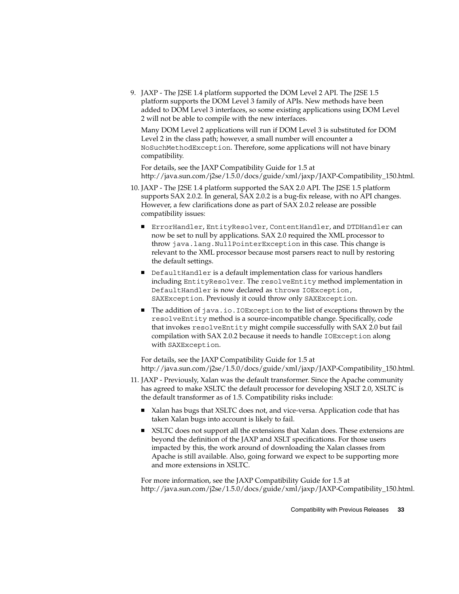9. JAXP - The J2SE 1.4 platform supported the DOM Level 2 API. The J2SE 1.5 platform supports the DOM Level 3 family of APIs. New methods have been added to DOM Level 3 interfaces, so some existing applications using DOM Level 2 will not be able to compile with the new interfaces.

Many DOM Level 2 applications will run if DOM Level 3 is substituted for DOM Level 2 in the class path; however, a small number will encounter a NoSuchMethodException. Therefore, some applications will not have binary compatibility.

For details, see the [JAXP Compatibility Guide for 1.5](http://java.sun.com/j2se/1.5.0/docs/guide/xml/jaxp/JAXP-Compatibility_150.html) at http://java.sun.com/j2se/1.5.0/docs/guide/xml/jaxp/JAXP-Compatibility\_150.html.

- 10. JAXP The J2SE 1.4 platform supported the SAX 2.0 API. The J2SE 1.5 platform supports SAX 2.0.2. In general, SAX 2.0.2 is a bug-fix release, with no API changes. However, a few clarifications done as part of SAX 2.0.2 release are possible compatibility issues:
	- ErrorHandler, EntityResolver, ContentHandler, and DTDHandler can now be set to null by applications. SAX 2.0 required the XML processor to throw java.lang.NullPointerException in this case. This change is relevant to the XML processor because most parsers react to null by restoring the default settings.
	- DefaultHandler is a default implementation class for various handlers including EntityResolver. The resolveEntity method implementation in DefaultHandler is now declared as throws IOException, SAXException. Previously it could throw only SAXException.
	- The addition of java.io.IOException to the list of exceptions thrown by the resolveEntity method is a source-incompatible change. Specifically, code that invokes resolveEntity might compile successfully with SAX 2.0 but fail compilation with SAX 2.0.2 because it needs to handle IOException along with SAXException.

For details, see the [JAXP Compatibility Guide for 1.5](http://java.sun.com/j2se/1.5.0/docs/guide/xml/jaxp/JAXP-Compatibility_150.html) at http://java.sun.com/j2se/1.5.0/docs/guide/xml/jaxp/JAXP-Compatibility\_150.html.

- 11. JAXP Previously, Xalan was the default transformer. Since the Apache community has agreed to make XSLTC the default processor for developing XSLT 2.0, XSLTC is the default transformer as of 1.5. Compatibility risks include:
	- Xalan has bugs that XSLTC does not, and vice-versa. Application code that has taken Xalan bugs into account is likely to fail.
	- XSLTC does not support all the extensions that Xalan does. These extensions are beyond the definition of the JAXP and XSLT specifications. For those users impacted by this, the work around of downloading the Xalan classes from Apache is still available. Also, going forward we expect to be supporting more and more extensions in XSLTC.

For more information, see the [JAXP Compatibility Guide for 1.5](http://java.sun.com/j2se/1.5.0/docs/guide/xml/jaxp/JAXP-Compatibility_150.html) at http://java.sun.com/j2se/1.5.0/docs/guide/xml/jaxp/JAXP-Compatibility\_150.html.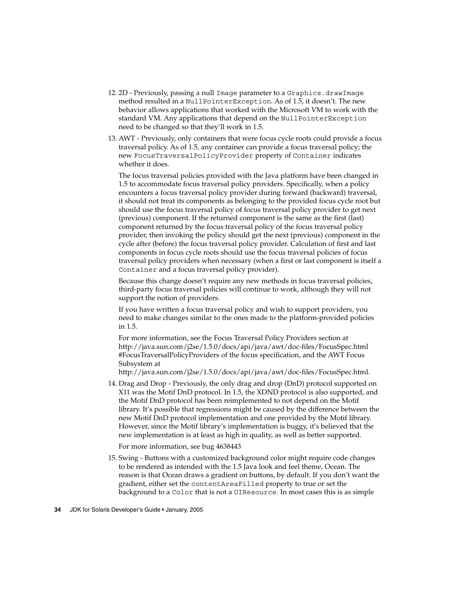- 12. 2D Previously, passing a null Image parameter to a Graphics.drawImage method resulted in a NullPointerException. As of 1.5, it doesn't. The new behavior allows applications that worked with the Microsoft VM to work with the standard VM. Any applications that depend on the NullPointerException need to be changed so that they'll work in 1.5.
- 13. AWT Previously, only containers that were focus cycle roots could provide a focus traversal policy. As of 1.5, any container can provide a focus traversal policy; the new FocusTraversalPolicyProvider property of Container indicates whether it does.

The focus traversal policies provided with the Java platform have been changed in 1.5 to accommodate focus traversal policy providers. Specifically, when a policy encounters a focus traversal policy provider during forward (backward) traversal, it should not treat its components as belonging to the provided focus cycle root but should use the focus traversal policy of focus traversal policy provider to get next (previous) component. If the returned component is the same as the first (last) component returned by the focus traversal policy of the focus traversal policy provider, then invoking the policy should get the next (previous) component in the cycle after (before) the focus traversal policy provider. Calculation of first and last components in focus cycle roots should use the focus traversal policies of focus traversal policy providers when necessary (when a first or last component is itself a Container and a focus traversal policy provider).

Because this change doesn't require any new methods in focus traversal policies, third-party focus traversal policies will continue to work, although they will not support the notion of providers.

If you have written a focus traversal policy and wish to support providers, you need to make changes similar to the ones made to the platform-provided policies in 1.5.

For more information, see the [Focus Traversal Policy Providers](http://java.sun.com/j2se/1.5.0/docs/api/java/awt/doc-files/FocusSpec.html#FocusTraversalPolicyProviders) section at http://java.sun.com/j2se/1.5.0/docs/api/java/awt/doc-files/FocusSpec.html #FocusTraversalPolicyProviders of the focus specification, [and the AWT Focus](http://java.sun.com/j2se/1.5.0/docs/api/java/awt/doc-files/FocusSpec.html) [Subsystem](http://java.sun.com/j2se/1.5.0/docs/api/java/awt/doc-files/FocusSpec.html) at

http://java.sun.com/j2se/1.5.0/docs/api/java/awt/doc-files/FocusSpec.html.

14. Drag and Drop - Previously, the only drag and drop (DnD) protocol supported on X11 was the Motif DnD protocol. In 1.5, the XDND protocol is also supported, and the Motif DnD protocol has been reimplemented to not depend on the Motif library. It's possible that regressions might be caused by the difference between the new Motif DnD protocol implementation and one provided by the Motif library. However, since the Motif library's implementation is buggy, it's believed that the new implementation is at least as high in quality, as well as better supported.

For more information, see bug [4638443.](http://developer.java.sun.com/developer/bugParade/bugs/4638443.html)

15. Swing - Buttons with a customized background color might require code changes to be rendered as intended with the 1.5 Java look and feel theme, Ocean. The reason is that Ocean draws a gradient on buttons, by default. If you don't want the gradient, either set the contentAreaFilled property to true or set the background to a Color that is not a UIResource. In most cases this is as simple